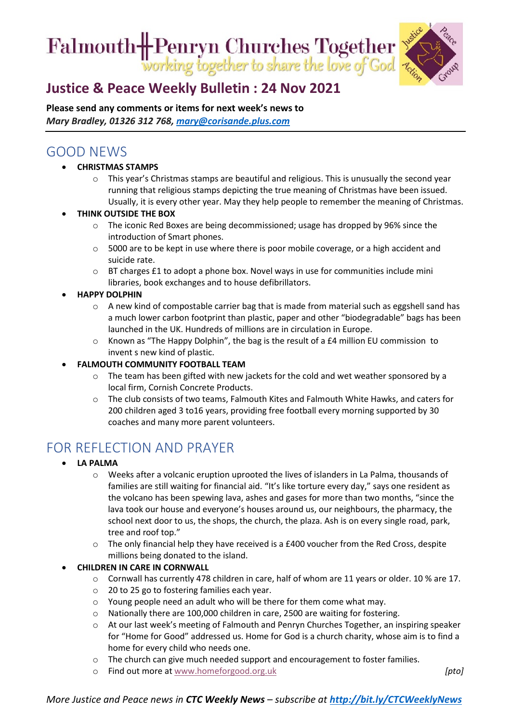Falmouth H-Penryn Churches Together



## **[Justice & Peace Weekly Bulletin : 24](https://ctcinfohub.us20.list-manage.com/track/click?u=b645f09ec283e4df6750ff7ee&id=b04d1aea1f&e=5e2c195eda) Nov 2021**

**Please send any comments or items for next week's news to**  *Mary Bradley, 01326 312 768, [mary@corisande.plus.com](mailto:mary@corisande.plus.com)*

### GOOD NEWS

- **CHRISTMAS STAMPS**
	- o This year's Christmas stamps are beautiful and religious. This is unusually the second year running that religious stamps depicting the true meaning of Christmas have been issued. Usually, it is every other year. May they help people to remember the meaning of Christmas.
- **THINK OUTSIDE THE BOX**
	- o The iconic Red Boxes are being decommissioned; usage has dropped by 96% since the introduction of Smart phones.
	- o 5000 are to be kept in use where there is poor mobile coverage, or a high accident and suicide rate.
	- $\circ$  BT charges £1 to adopt a phone box. Novel ways in use for communities include mini libraries, book exchanges and to house defibrillators.
- **HAPPY DOLPHIN**
	- $\circ$  A new kind of compostable carrier bag that is made from material such as eggshell sand has a much lower carbon footprint than plastic, paper and other "biodegradable" bags has been launched in the UK. Hundreds of millions are in circulation in Europe.
	- $\circ$  Known as "The Happy Dolphin", the bag is the result of a £4 million EU commission to invent s new kind of plastic.
- **FALMOUTH COMMUNITY FOOTBALL TEAM**
	- $\circ$  The team has been gifted with new jackets for the cold and wet weather sponsored by a local firm, Cornish Concrete Products.
	- o The club consists of two teams, Falmouth Kites and Falmouth White Hawks, and caters for 200 children aged 3 to16 years, providing free football every morning supported by 30 coaches and many more parent volunteers.

# FOR REFLECTION AND PRAYER

- **LA PALMA**
	- o Weeks after a volcanic eruption uprooted the lives of islanders in La Palma, thousands of families are still waiting for financial aid. "It's like torture every day," says one resident as the volcano has been spewing lava, ashes and gases for more than two months, "since the lava took our house and everyone's houses around us, our neighbours, the pharmacy, the school next door to us, the shops, the church, the plaza. Ash is on every single road, park, tree and roof top."
	- $\circ$  The only financial help they have received is a £400 voucher from the Red Cross, despite millions being donated to the island.

#### • **CHILDREN IN CARE IN CORNWALL**

- o Cornwall has currently 478 children in care, half of whom are 11 years or older. 10 % are 17.
- o 20 to 25 go to fostering families each year.
- o Young people need an adult who will be there for them come what may.
- o Nationally there are 100,000 children in care, 2500 are waiting for fostering.
- o At our last week's meeting of Falmouth and Penryn Churches Together, an inspiring speaker for "Home for Good" addressed us. Home for God is a church charity, whose aim is to find a home for every child who needs one.
- $\circ$  The church can give much needed support and encouragement to foster families.
- **Find out more at** [www.homeforgood.org.uk](http://www.homeforgood.org.uk/) *completed as a complete definition of the state of the state definition* $[pto]$